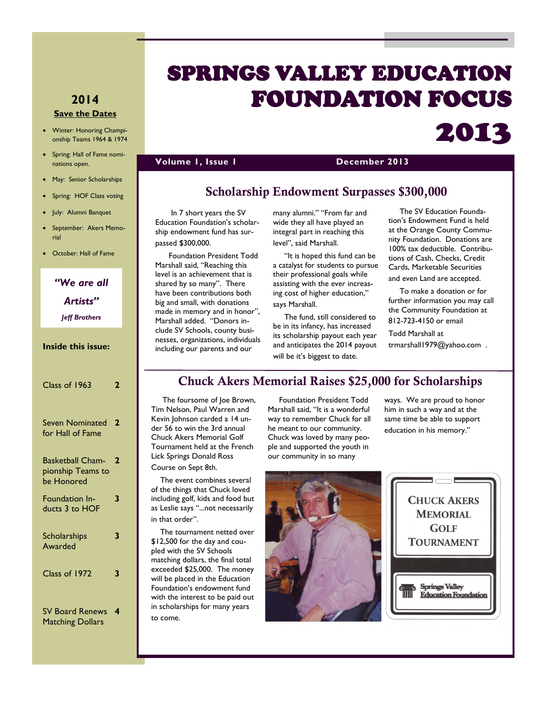# SPRINGS VALLEY EDUCATION FOUNDATION FOCUS

### **Volume 1, Issue 1 December 2013**

### **Scholarship Endowment Surpasses \$300,000**

 In 7 short years the SV Education Foundation's scholarship endowment fund has surpassed \$300,000.

 Foundation President Todd Marshall said, "Reaching this level is an achievement that is shared by so many". There have been contributions both big and small, with donations made in memory and in honor", Marshall added. "Donors include SV Schools, county businesses, organizations, individuals including our parents and our

many alumni." "From far and wide they all have played an integral part in reaching this level", said Marshall.

 "It is hoped this fund can be a catalyst for students to pursue their professional goals while assisting with the ever increasing cost of higher education," says Marshall.

 The fund, still considered to be in its infancy, has increased its scholarship payout each year and anticipates the 2014 payout

 The SV Education Foundation's Endowment Fund is held at the Orange County Community Foundation. Donations are 100% tax deductible. Contributions of Cash, Checks, Credit Cards, Marketable Securities and even Land are accepted.

2013

 To make a donation or for further information you may call the Community Foundation at 812-723-4150 or email

Todd Marshall at trmarshall1979@yahoo.com .

## will be it's biggest to date.

### **Chuck Akers Memorial Raises \$25,000 for Scholarships**

 The foursome of Joe Brown, Tim Nelson, Paul Warren and Kevin Johnson carded a 14 under 56 to win the 3rd annual Chuck Akers Memorial Golf Tournament held at the French Lick Springs Donald Ross Course on Sept 8th.

 The event combines several of the things that Chuck loved including golf, kids and food but as Leslie says "...not necessarily in that order".

 The tournament netted over \$12,500 for the day and coupled with the SV Schools matching dollars, the final total exceeded \$25,000. The money will be placed in the Education Foundation's endowment fund with the interest to be paid out in scholarships for many years to come.

 Foundation President Todd Marshall said, "It is a wonderful way to remember Chuck for all he meant to our community. Chuck was loved by many people and supported the youth in our community in so many

ways. We are proud to honor him in such a way and at the same time be able to support education in his memory."



**MEMORIAL GOLF TOURNAMENT** 

**Springs Valley Education Foundation** 

### **2014 Save the Dates**

- Winter: Honoring Championship Teams 1964 & 1974
- Spring: Hall of Fame nominations open.
- May: Senior Scholarships
- Spring: HOF Class voting
- July: Alumni Banquet
- September: Akers Memorial
- October: Hall of Fame

*"We are all Artists" Jeff Brothers*

### **Inside this issue:**

| Class of 1963                                              |   |
|------------------------------------------------------------|---|
| Seven Nominated<br>for Hall of Fame                        | 2 |
| <b>Basketball Cham-</b><br>pionship Teams to<br>be Honored | 2 |
| Foundation In-<br>ducts 3 to HOF                           | 3 |
| <b>Scholarships</b><br>Awarded                             | 3 |
| Class of 1972                                              | 3 |
|                                                            |   |

SV Board Renews **4** Matching Dollars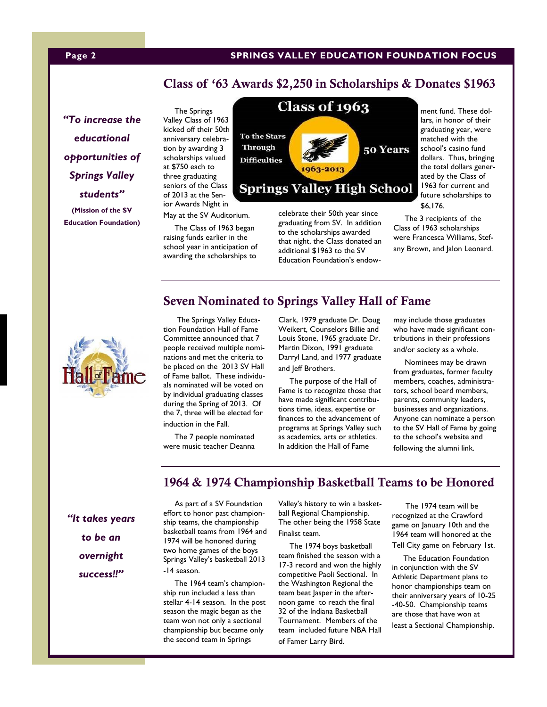### **Page 2 SPRINGS VALLEY EDUCATION FOUNDATION FOCUS**

### **Class of '63 Awards \$2,250 in Scholarships & Donates \$1963**

*"To increase the educational opportunities of Springs Valley students"* **(Mission of the SV** 

**Education Foundation)**

 The Springs Valley Class of 1963 kicked off their 50th anniversary celebration by awarding 3 scholarships valued at \$750 each to three graduating seniors of the Class of 2013 at the Senior Awards Night in

May at the SV Auditorium.

 The Class of 1963 began raising funds earlier in the school year in anticipation of awarding the scholarships to



celebrate their 50th year since graduating from SV. In addition to the scholarships awarded that night, the Class donated an additional \$1963 to the SV Education Foundation's endowment fund. These dollars, in honor of their graduating year, were matched with the school's casino fund dollars. Thus, bringing the total dollars generated by the Class of 1963 for current and future scholarships to \$6,176.

 The 3 recipients of the Class of 1963 scholarships were Francesca Williams, Stefany Brown, and Jalon Leonard.

 The Springs Valley Education Foundation Hall of Fame Committee announced that 7 people received multiple nominations and met the criteria to be placed on the 2013 SV Hall of Fame ballot. These individuals nominated will be voted on by individual graduating classes during the Spring of 2013. Of the 7, three will be elected for induction in the Fall.

 The 7 people nominated were music teacher Deanna Clark, 1979 graduate Dr. Doug Weikert, Counselors Billie and Louis Stone, 1965 graduate Dr. Martin Dixon, 1991 graduate Darryl Land, and 1977 graduate and Jeff Brothers.

**Seven Nominated to Springs Valley Hall of Fame**

 The purpose of the Hall of Fame is to recognize those that have made significant contributions time, ideas, expertise or finances to the advancement of programs at Springs Valley such as academics, arts or athletics. In addition the Hall of Fame

may include those graduates who have made significant contributions in their professions and/or society as a whole.

 Nominees may be drawn from graduates, former faculty members, coaches, administrators, school board members, parents, community leaders, businesses and organizations. Anyone can nominate a person to the SV Hall of Fame by going to the school's website and following the alumni link.

### **1964 & 1974 Championship Basketball Teams to be Honored**

*"It takes years to be an overnight success!!"*

 As part of a SV Foundation effort to honor past championship teams, the championship basketball teams from 1964 and 1974 will be honored during two home games of the boys Springs Valley's basketball 2013 -14 season.

 The 1964 team's championship run included a less than stellar 4-14 season. In the post season the magic began as the team won not only a sectional championship but became only the second team in Springs

Valley's history to win a basketball Regional Championship. The other being the 1958 State Finalist team.

 The 1974 boys basketball team finished the season with a 17-3 record and won the highly competitive Paoli Sectional. In the Washington Regional the team beat Jasper in the afternoon game to reach the final 32 of the Indiana Basketball Tournament. Members of the team included future NBA Hall of Famer Larry Bird.

 The 1974 team will be recognized at the Crawford game on January 10th and the 1964 team will honored at the

Tell City game on February 1st.

 The Education Foundation in conjunction with the SV Athletic Department plans to honor championships team on their anniversary years of 10-25 -40-50. Championship teams are those that have won at least a Sectional Championship.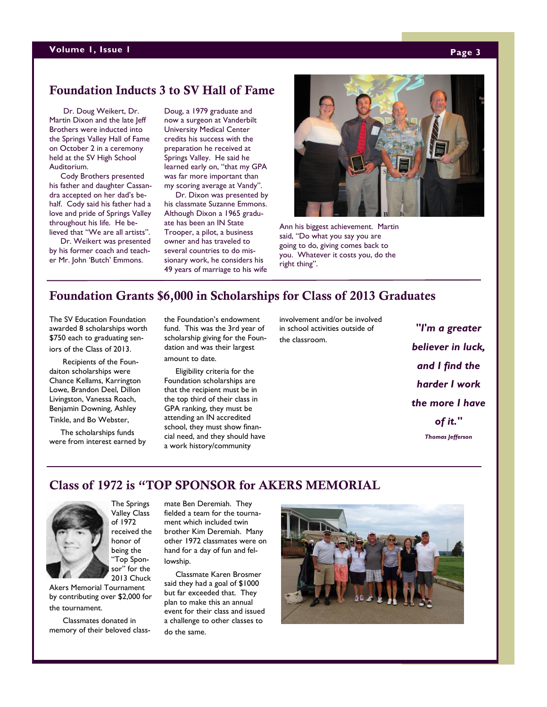### **Volume 1, Issue 1 Page 3**

### **Foundation Inducts 3 to SV Hall of Fame**

Dr. Doug Weikert, Dr. Martin Dixon and the late Jeff Brothers were inducted into the Springs Valley Hall of Fame on October 2 in a ceremony held at the SV High School Auditorium.

 Cody Brothers presented his father and daughter Cassandra accepted on her dad's behalf. Cody said his father had a love and pride of Springs Valley throughout his life. He believed that "We are all artists".

 Dr. Weikert was presented by his former coach and teacher Mr. John 'Butch' Emmons.

Doug, a 1979 graduate and now a surgeon at Vanderbilt University Medical Center credits his success with the preparation he received at Springs Valley. He said he learned early on, "that my GPA was far more important than my scoring average at Vandy".

 Dr. Dixon was presented by his classmate Suzanne Emmons. Although Dixon a 1965 graduate has been an IN State Trooper, a pilot, a business owner and has traveled to several countries to do missionary work, he considers his 49 years of marriage to his wife



Ann his biggest achievement. Martin said, "Do what you say you are going to do, giving comes back to you. Whatever it costs you, do the right thing".

### **Foundation Grants \$6,000 in Scholarships for Class of 2013 Graduates**

The SV Education Foundation awarded 8 scholarships worth \$750 each to graduating seniors of the Class of 2013.

 Recipients of the Foundaiton scholarships were Chance Kellams, Karrington Lowe, Brandon Deel, Dillon Livingston, Vanessa Roach, Benjamin Downing, Ashley Tinkle, and Bo Webster,

 The scholarships funds were from interest earned by the Foundation's endowment fund. This was the 3rd year of scholarship giving for the Foundation and was their largest amount to date.

 Eligibility criteria for the Foundation scholarships are that the recipient must be in the top third of their class in GPA ranking, they must be attending an IN accredited school, they must show financial need, and they should have a work history/community

involvement and/or be involved in school activities outside of the classroom.

*"I'm a greater believer in luck, and I find the harder I work the more I have of it." Thomas Jefferson*

**Class of 1972 is "TOP SPONSOR for AKERS MEMORIAL**



Valley Class of 1972 received the honor of being the "Top Sponsor" for the 2013 Chuck

Akers Memorial Tournament by contributing over \$2,000 for the tournament.

 Classmates donated in memory of their beloved classmate Ben Deremiah. They fielded a team for the tournament which included twin brother Kim Deremiah. Many other 1972 classmates were on hand for a day of fun and fellowship.

 Classmate Karen Brosmer said they had a goal of \$1000 but far exceeded that. They plan to make this an annual event for their class and issued a challenge to other classes to do the same.